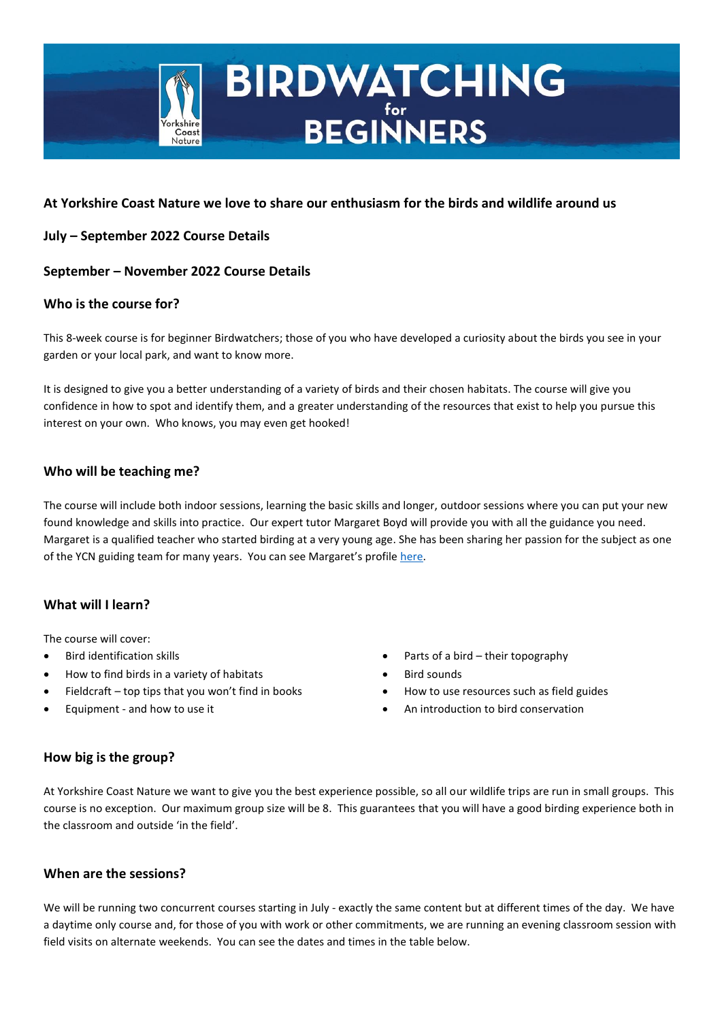

# **BIRDWATCHING**

# **At Yorkshire Coast Nature we love to share our enthusiasm for the birds and wildlife around us**

# **July – September 2022 Course Details**

# **September – November 2022 Course Details**

# **Who is the course for?**

This 8-week course is for beginner Birdwatchers; those of you who have developed a curiosity about the birds you see in your garden or your local park, and want to know more.

It is designed to give you a better understanding of a variety of birds and their chosen habitats. The course will give you confidence in how to spot and identify them, and a greater understanding of the resources that exist to help you pursue this interest on your own. Who knows, you may even get hooked!

# **Who will be teaching me?**

The course will include both indoor sessions, learning the basic skills and longer, outdoor sessions where you can put your new found knowledge and skills into practice. Our expert tutor Margaret Boyd will provide you with all the guidance you need. Margaret is a qualified teacher who started birding at a very young age. She has been sharing her passion for the subject as one of the YCN guiding team for many years. You can see Margaret's profile [here.](https://www.yorkshirecoastnature.co.uk/tutors/17/margaret-boyd-bsc-pgce)

# **What will I learn?**

The course will cover:

- Bird identification skills
- How to find birds in a variety of habitats
- Fieldcraft top tips that you won't find in books
- Equipment and how to use it
- Parts of a bird their topography
- **Bird sounds**
- How to use resources such as field guides
- An introduction to bird conservation

# **How big is the group?**

At Yorkshire Coast Nature we want to give you the best experience possible, so all our wildlife trips are run in small groups. This course is no exception. Our maximum group size will be 8. This guarantees that you will have a good birding experience both in the classroom and outside 'in the field'.

## **When are the sessions?**

We will be running two concurrent courses starting in July - exactly the same content but at different times of the day. We have a daytime only course and, for those of you with work or other commitments, we are running an evening classroom session with field visits on alternate weekends. You can see the dates and times in the table below.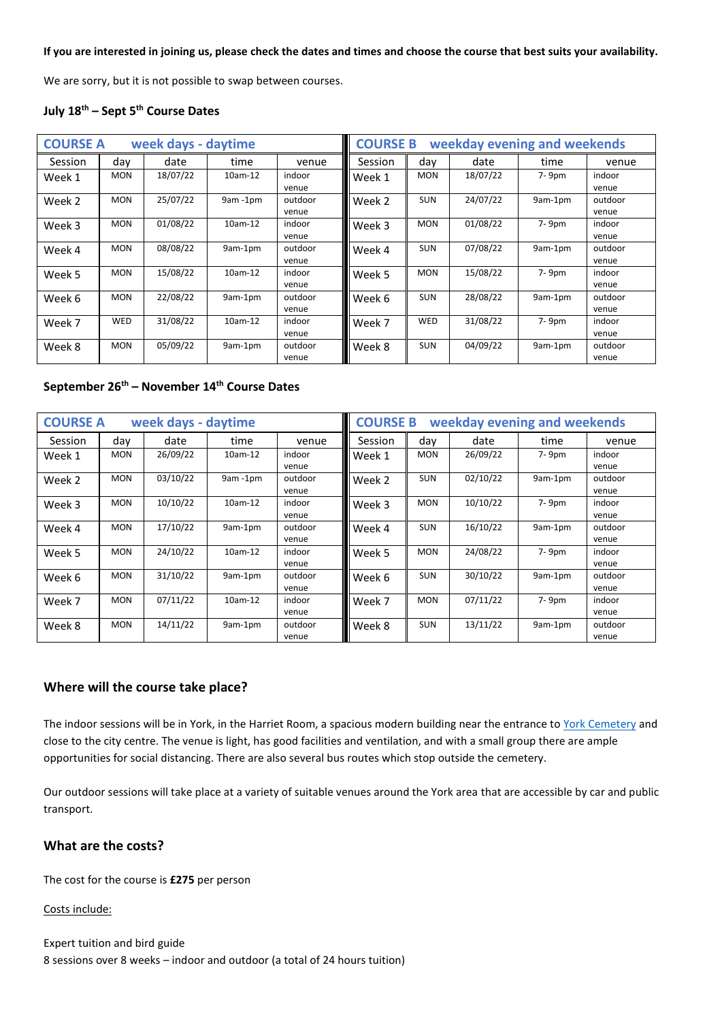#### **If you are interested in joining us, please check the dates and times and choose the course that best suits your availability.**

We are sorry, but it is not possible to swap between courses.

## **July 18th – Sept 5th Course Dates**

| <b>COURSE A</b><br>week days - daytime |            |          |           |                  | <b>COURSE B</b><br>weekday evening and weekends |            |          |         |                  |
|----------------------------------------|------------|----------|-----------|------------------|-------------------------------------------------|------------|----------|---------|------------------|
| <b>Session</b>                         | day        | date     | time      | venue            | Session                                         | day        | date     | time    | venue            |
| Week 1                                 | <b>MON</b> | 18/07/22 | 10am-12   | indoor<br>venue  | Week 1                                          | <b>MON</b> | 18/07/22 | 7-9pm   | indoor<br>venue  |
| Week 2                                 | <b>MON</b> | 25/07/22 | 9am-1pm   | outdoor<br>venue | Week 2                                          | <b>SUN</b> | 24/07/22 | 9am-1pm | outdoor<br>venue |
| Week 3                                 | <b>MON</b> | 01/08/22 | $10am-12$ | indoor<br>venue  | Week 3                                          | <b>MON</b> | 01/08/22 | 7-9pm   | indoor<br>venue  |
| Week 4                                 | <b>MON</b> | 08/08/22 | 9am-1pm   | outdoor<br>venue | Week 4                                          | <b>SUN</b> | 07/08/22 | 9am-1pm | outdoor<br>venue |
| Week 5                                 | <b>MON</b> | 15/08/22 | 10am-12   | indoor<br>venue  | Week 5                                          | <b>MON</b> | 15/08/22 | 7-9pm   | indoor<br>venue  |
| Week 6                                 | <b>MON</b> | 22/08/22 | 9am-1pm   | outdoor<br>venue | Week 6                                          | <b>SUN</b> | 28/08/22 | 9am-1pm | outdoor<br>venue |
| Week 7                                 | WED        | 31/08/22 | 10am-12   | indoor<br>venue  | Week 7                                          | <b>WED</b> | 31/08/22 | 7-9pm   | indoor<br>venue  |
| Week 8                                 | <b>MON</b> | 05/09/22 | 9am-1pm   | outdoor<br>venue | Week 8                                          | <b>SUN</b> | 04/09/22 | 9am-1pm | outdoor<br>venue |

### **September 26th – November 14th Course Dates**

| <b>COURSE A</b><br>week days - daytime |            |          |           |                  | <b>COURSE B</b><br>weekday evening and weekends |            |          |         |                  |
|----------------------------------------|------------|----------|-----------|------------------|-------------------------------------------------|------------|----------|---------|------------------|
| Session                                | day        | date     | time      | venue            | Session                                         | day        | date     | time    | venue            |
| Week 1                                 | <b>MON</b> | 26/09/22 | 10am-12   | indoor<br>venue  | Week 1                                          | <b>MON</b> | 26/09/22 | 7-9pm   | indoor<br>venue  |
| Week 2                                 | <b>MON</b> | 03/10/22 | 9am-1pm   | outdoor<br>venue | Week 2                                          | <b>SUN</b> | 02/10/22 | 9am-1pm | outdoor<br>venue |
| Week 3                                 | <b>MON</b> | 10/10/22 | $10am-12$ | indoor<br>venue  | Week 3                                          | <b>MON</b> | 10/10/22 | 7-9pm   | indoor<br>venue  |
| Week 4                                 | <b>MON</b> | 17/10/22 | 9am-1pm   | outdoor<br>venue | Week 4                                          | <b>SUN</b> | 16/10/22 | 9am-1pm | outdoor<br>venue |
| Week 5                                 | <b>MON</b> | 24/10/22 | $10am-12$ | indoor<br>venue  | Week 5                                          | <b>MON</b> | 24/08/22 | 7-9pm   | indoor<br>venue  |
| Week 6                                 | <b>MON</b> | 31/10/22 | 9am-1pm   | outdoor<br>venue | Week 6                                          | <b>SUN</b> | 30/10/22 | 9am-1pm | outdoor<br>venue |
| Week 7                                 | <b>MON</b> | 07/11/22 | 10am-12   | indoor<br>venue  | Week 7                                          | <b>MON</b> | 07/11/22 | 7-9pm   | indoor<br>venue  |
| Week 8                                 | <b>MON</b> | 14/11/22 | 9am-1pm   | outdoor<br>venue | Week 8                                          | <b>SUN</b> | 13/11/22 | 9am-1pm | outdoor<br>venue |

#### **Where will the course take place?**

The indoor sessions will be in York, in the Harriet Room, a spacious modern building near the entrance to [York Cemetery](https://www.yorkcemetery.org.uk/) and close to the city centre. The venue is light, has good facilities and ventilation, and with a small group there are ample opportunities for social distancing. There are also several bus routes which stop outside the cemetery.

Our outdoor sessions will take place at a variety of suitable venues around the York area that are accessible by car and public transport.

## **What are the costs?**

The cost for the course is **£275** per person

#### Costs include:

Expert tuition and bird guide 8 sessions over 8 weeks – indoor and outdoor (a total of 24 hours tuition)